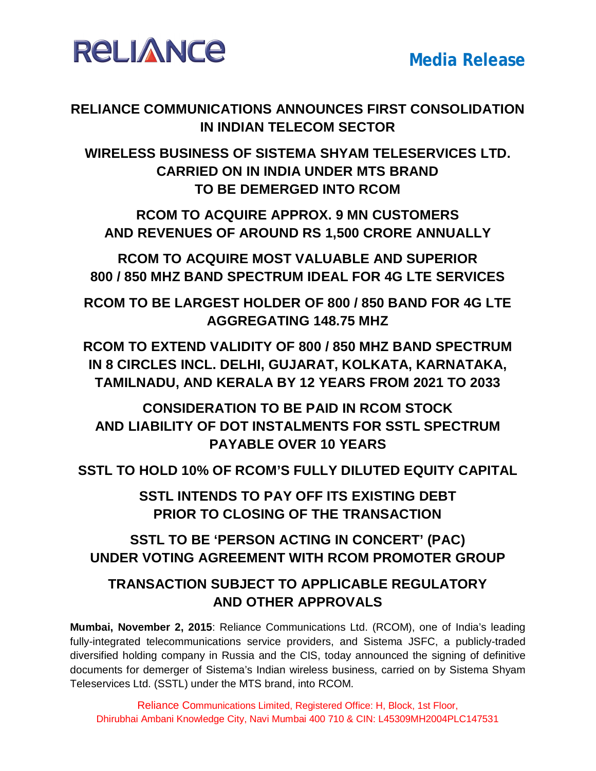

**RELIANCE COMMUNICATIONS ANNOUNCES FIRST CONSOLIDATION IN INDIAN TELECOM SECTOR**

**WIRELESS BUSINESS OF SISTEMA SHYAM TELESERVICES LTD. CARRIED ON IN INDIA UNDER MTS BRAND TO BE DEMERGED INTO RCOM**

**RCOM TO ACQUIRE APPROX. 9 MN CUSTOMERS AND REVENUES OF AROUND RS 1,500 CRORE ANNUALLY**

**RCOM TO ACQUIRE MOST VALUABLE AND SUPERIOR 800 / 850 MHZ BAND SPECTRUM IDEAL FOR 4G LTE SERVICES**

**RCOM TO BE LARGEST HOLDER OF 800 / 850 BAND FOR 4G LTE AGGREGATING 148.75 MHZ**

**RCOM TO EXTEND VALIDITY OF 800 / 850 MHZ BAND SPECTRUM IN 8 CIRCLES INCL. DELHI, GUJARAT, KOLKATA, KARNATAKA, TAMILNADU, AND KERALA BY 12 YEARS FROM 2021 TO 2033**

**CONSIDERATION TO BE PAID IN RCOM STOCK AND LIABILITY OF DOT INSTALMENTS FOR SSTL SPECTRUM PAYABLE OVER 10 YEARS**

**SSTL TO HOLD 10% OF RCOM'S FULLY DILUTED EQUITY CAPITAL**

**SSTL INTENDS TO PAY OFF ITS EXISTING DEBT PRIOR TO CLOSING OF THE TRANSACTION**

## **SSTL TO BE 'PERSON ACTING IN CONCERT' (PAC) UNDER VOTING AGREEMENT WITH RCOM PROMOTER GROUP**

## **TRANSACTION SUBJECT TO APPLICABLE REGULATORY AND OTHER APPROVALS**

**Mumbai, November 2, 2015**: Reliance Communications Ltd. (RCOM), one of India's leading fully-integrated telecommunications service providers, and Sistema JSFC, a publicly-traded diversified holding company in Russia and the CIS, today announced the signing of definitive documents for demerger of Sistema's Indian wireless business, carried on by Sistema Shyam Teleservices Ltd. (SSTL) under the MTS brand, into RCOM.

Reliance Communications Limited, Registered Office: H, Block, 1st Floor, Dhirubhai Ambani Knowledge City, Navi Mumbai 400 710 & CIN: L45309MH2004PLC147531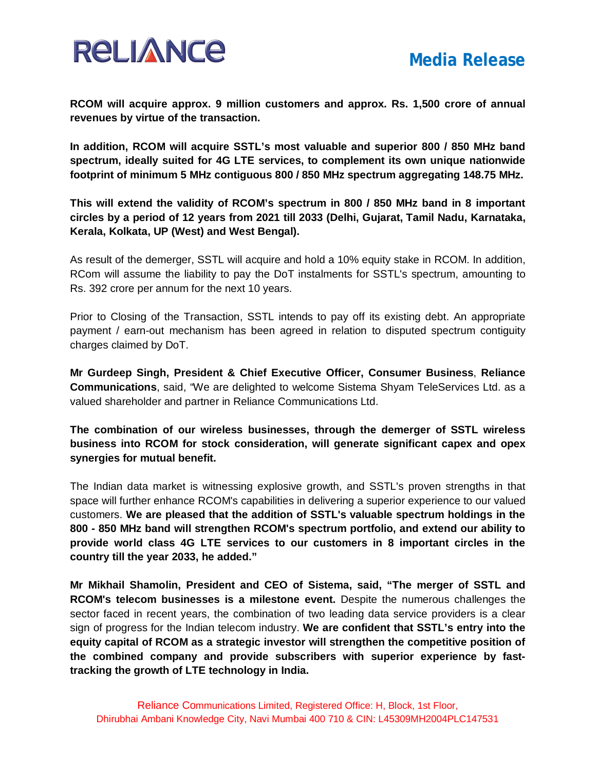

**RCOM will acquire approx. 9 million customers and approx. Rs. 1,500 crore of annual revenues by virtue of the transaction.** 

**In addition, RCOM will acquire SSTL's most valuable and superior 800 / 850 MHz band spectrum, ideally suited for 4G LTE services, to complement its own unique nationwide footprint of minimum 5 MHz contiguous 800 / 850 MHz spectrum aggregating 148.75 MHz.**

**This will extend the validity of RCOM's spectrum in 800 / 850 MHz band in 8 important circles by a period of 12 years from 2021 till 2033 (Delhi, Gujarat, Tamil Nadu, Karnataka, Kerala, Kolkata, UP (West) and West Bengal).** 

As result of the demerger, SSTL will acquire and hold a 10% equity stake in RCOM. In addition, RCom will assume the liability to pay the DoT instalments for SSTL's spectrum, amounting to Rs. 392 crore per annum for the next 10 years.

Prior to Closing of the Transaction, SSTL intends to pay off its existing debt. An appropriate payment / earn-out mechanism has been agreed in relation to disputed spectrum contiguity charges claimed by DoT.

**Mr Gurdeep Singh, President & Chief Executive Officer, Consumer Business**, **Reliance Communications**, said, "We are delighted to welcome Sistema Shyam TeleServices Ltd. as a valued shareholder and partner in Reliance Communications Ltd.

**The combination of our wireless businesses, through the demerger of SSTL wireless business into RCOM for stock consideration, will generate significant capex and opex synergies for mutual benefit.**

The Indian data market is witnessing explosive growth, and SSTL's proven strengths in that space will further enhance RCOM's capabilities in delivering a superior experience to our valued customers. **We are pleased that the addition of SSTL's valuable spectrum holdings in the 800 - 850 MHz band will strengthen RCOM's spectrum portfolio, and extend our ability to provide world class 4G LTE services to our customers in 8 important circles in the country till the year 2033, he added."**

**Mr Mikhail Shamolin, President and CEO of Sistema, said, "The merger of SSTL and RCOM's telecom businesses is a milestone event.** Despite the numerous challenges the sector faced in recent years, the combination of two leading data service providers is a clear sign of progress for the Indian telecom industry. **We are confident that SSTL's entry into the equity capital of RCOM as a strategic investor will strengthen the competitive position of the combined company and provide subscribers with superior experience by fasttracking the growth of LTE technology in India.**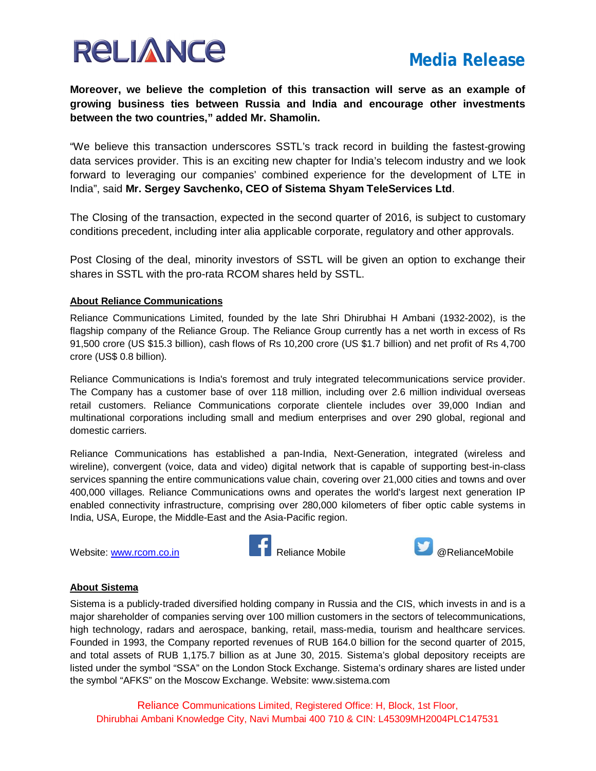# RELIANCE

# **Media Release**

**Moreover, we believe the completion of this transaction will serve as an example of growing business ties between Russia and India and encourage other investments between the two countries," added Mr. Shamolin.**

"We believe this transaction underscores SSTL's track record in building the fastest-growing data services provider. This is an exciting new chapter for India's telecom industry and we look forward to leveraging our companies' combined experience for the development of LTE in India", said **Mr. Sergey Savchenko, CEO of Sistema Shyam TeleServices Ltd**.

The Closing of the transaction, expected in the second quarter of 2016, is subject to customary conditions precedent, including inter alia applicable corporate, regulatory and other approvals.

Post Closing of the deal, minority investors of SSTL will be given an option to exchange their shares in SSTL with the pro-rata RCOM shares held by SSTL.

#### **About Reliance Communications**

Reliance Communications Limited, founded by the late Shri Dhirubhai H Ambani (1932-2002), is the flagship company of the Reliance Group. The Reliance Group currently has a net worth in excess of Rs 91,500 crore (US \$15.3 billion), cash flows of Rs 10,200 crore (US \$1.7 billion) and net profit of Rs 4,700 crore (US\$ 0.8 billion).

Reliance Communications is India's foremost and truly integrated telecommunications service provider. The Company has a customer base of over 118 million, including over 2.6 million individual overseas retail customers. Reliance Communications corporate clientele includes over 39,000 Indian and multinational corporations including small and medium enterprises and over 290 global, regional and domestic carriers.

Reliance Communications has established a pan-India, Next-Generation, integrated (wireless and wireline), convergent (voice, data and video) digital network that is capable of supporting best-in-class services spanning the entire communications value chain, covering over 21,000 cities and towns and over 400,000 villages. Reliance Communications owns and operates the world's largest next generation IP enabled connectivity infrastructure, comprising over 280,000 kilometers of fiber optic cable systems in India, USA, Europe, the Middle-East and the Asia-Pacific region.



#### **About Sistema**

Sistema is a publicly-traded diversified holding company in Russia and the CIS, which invests in and is a major shareholder of companies serving over 100 million customers in the sectors of telecommunications, high technology, radars and aerospace, banking, retail, mass-media, tourism and healthcare services. Founded in 1993, the Company reported revenues of RUB 164.0 billion for the second quarter of 2015, and total assets of RUB 1,175.7 billion as at June 30, 2015. Sistema's global depository receipts are listed under the symbol "SSA" on the London Stock Exchange. Sistema's ordinary shares are listed under the symbol "AFKS" on the Moscow Exchange. Website: www.sistema.com

Reliance Communications Limited, Registered Office: H, Block, 1st Floor, Dhirubhai Ambani Knowledge City, Navi Mumbai 400 710 & CIN: L45309MH2004PLC147531